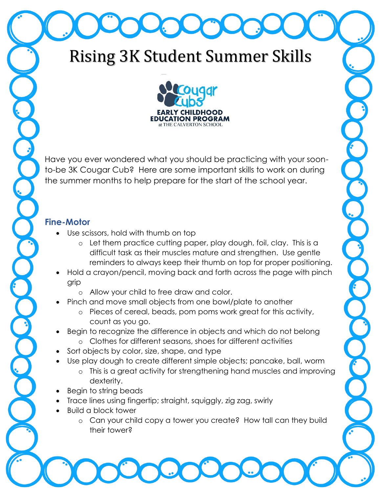# Rising 3K Student Summer Skills



Have you ever wondered what you should be practicing with your soonto-be 3K Cougar Cub? Here are some important skills to work on during the summer months to help prepare for the start of the school year.

### **Fine-Motor**

- Use scissors, hold with thumb on top
	- o Let them practice cutting paper, play dough, foil, clay. This is a difficult task as their muscles mature and strengthen. Use gentle reminders to always keep their thumb on top for proper positioning.
- Hold a crayon/pencil, moving back and forth across the page with pinch grip
	- o Allow your child to free draw and color.
- Pinch and move small objects from one bowl/plate to another
	- o Pieces of cereal, beads, pom poms work great for this activity, count as you go.
- Begin to recognize the difference in objects and which do not belong
	- o Clothes for different seasons, shoes for different activities
- Sort objects by color, size, shape, and type
- Use play dough to create different simple objects; pancake, ball, worm
	- o This is a great activity for strengthening hand muscles and improving dexterity.
- Begin to string beads
- Trace lines using fingertip; straight, squiggly, zig zag, swirly
- Build a block tower
	- o Can your child copy a tower you create? How tall can they build their tower?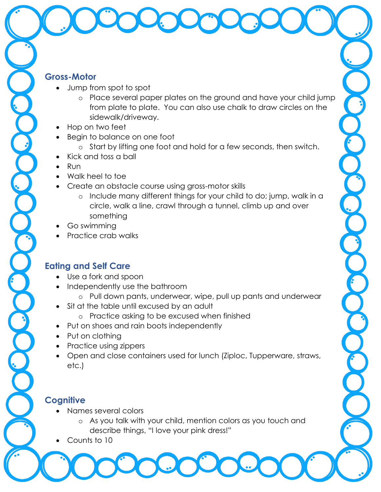#### **Gross-Motor**

- Jump from spot to spot
	- o Place several paper plates on the ground and have your child jump from plate to plate. You can also use chalk to draw circles on the sidewalk/driveway.
- Hop on two feet
- Begin to balance on one foot
	- o Start by lifting one foot and hold for a few seconds, then switch.
- Kick and toss a ball
- Run
- Walk heel to toe
- Create an obstacle course using gross-motor skills
	- o Include many different things for your child to do; jump, walk in a circle, walk a line, crawl through a tunnel, climb up and over something
- Go swimming
- Practice crab walks

# **Eating and Self Care**

- Use a fork and spoon
- Independently use the bathroom
	- o Pull down pants, underwear, wipe, pull up pants and underwear
- Sit at the table until excused by an adult
	- o Practice asking to be excused when finished
- Put on shoes and rain boots independently
- Put on clothing
- Practice using zippers
- Open and close containers used for lunch (Ziploc, Tupperware, straws, etc.)

# **Cognitive**

- Names several colors
	- o As you talk with your child, mention colors as you touch and describe things, "I love your pink dress!"
- Counts to 10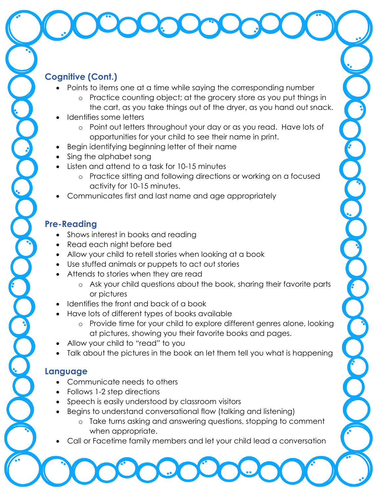## **Cognitive (Cont.)**

- Points to items one at a time while saying the corresponding number
	- o Practice counting object; at the grocery store as you put things in the cart, as you take things out of the dryer, as you hand out snack.
- Identifies some letters
	- o Point out letters throughout your day or as you read. Have lots of opportunities for your child to see their name in print.
- Begin identifying beginning letter of their name
- Sing the alphabet song
- Listen and attend to a task for 10-15 minutes
	- o Practice sitting and following directions or working on a focused activity for 10-15 minutes.
- Communicates first and last name and age appropriately

### **Pre-Reading**

- Shows interest in books and reading
- Read each night before bed
- Allow your child to retell stories when looking at a book
- Use stuffed animals or puppets to act out stories
- Attends to stories when they are read
	- o Ask your child questions about the book, sharing their favorite parts or pictures
- Identifies the front and back of a book
- Have lots of different types of books available
	- o Provide time for your child to explore different genres alone, looking at pictures, showing you their favorite books and pages.
- Allow your child to "read" to you
- Talk about the pictures in the book an let them tell you what is happening

### **Language**

- Communicate needs to others
- Follows 1-2 step directions
- Speech is easily understood by classroom visitors
- Begins to understand conversational flow (talking and listening)
	- o Take turns asking and answering questions, stopping to comment when appropriate.
- Call or Facetime family members and let your child lead a conversation